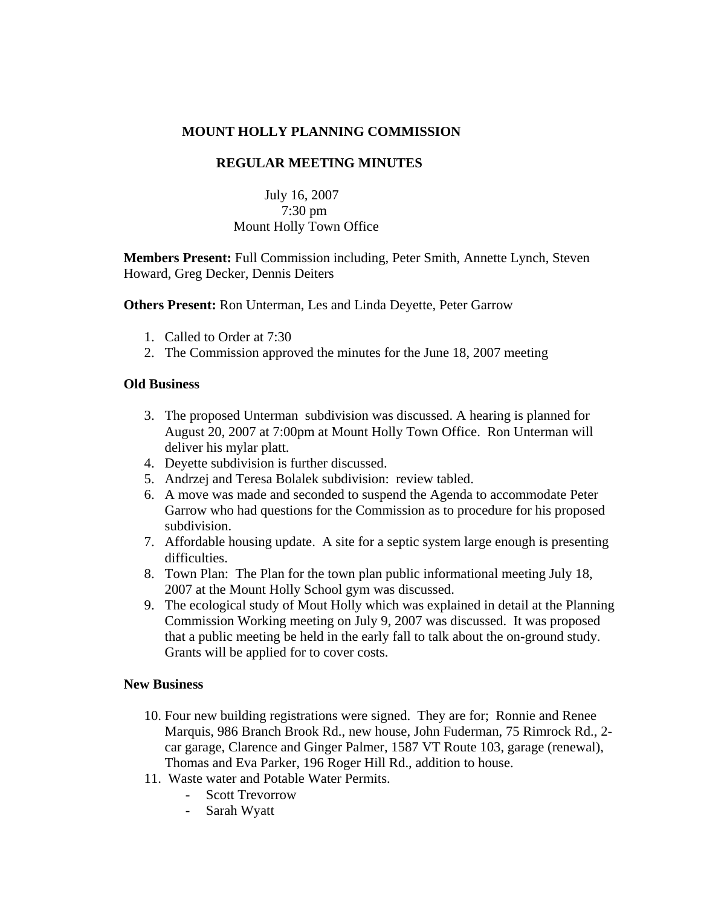# **MOUNT HOLLY PLANNING COMMISSION**

## **REGULAR MEETING MINUTES**

# July 16, 2007 7:30 pm Mount Holly Town Office

**Members Present:** Full Commission including, Peter Smith, Annette Lynch, Steven Howard, Greg Decker, Dennis Deiters

**Others Present:** Ron Unterman, Les and Linda Deyette, Peter Garrow

- 1. Called to Order at 7:30
- 2. The Commission approved the minutes for the June 18, 2007 meeting

### **Old Business**

- 3. The proposed Unterman subdivision was discussed. A hearing is planned for August 20, 2007 at 7:00pm at Mount Holly Town Office. Ron Unterman will deliver his mylar platt.
- 4. Deyette subdivision is further discussed.
- 5. Andrzej and Teresa Bolalek subdivision: review tabled.
- 6. A move was made and seconded to suspend the Agenda to accommodate Peter Garrow who had questions for the Commission as to procedure for his proposed subdivision.
- 7. Affordable housing update. A site for a septic system large enough is presenting difficulties.
- 8. Town Plan: The Plan for the town plan public informational meeting July 18, 2007 at the Mount Holly School gym was discussed.
- 9. The ecological study of Mout Holly which was explained in detail at the Planning Commission Working meeting on July 9, 2007 was discussed. It was proposed that a public meeting be held in the early fall to talk about the on-ground study. Grants will be applied for to cover costs.

#### **New Business**

- 10. Four new building registrations were signed. They are for; Ronnie and Renee Marquis, 986 Branch Brook Rd., new house, John Fuderman, 75 Rimrock Rd., 2 car garage, Clarence and Ginger Palmer, 1587 VT Route 103, garage (renewal), Thomas and Eva Parker, 196 Roger Hill Rd., addition to house.
- 11. Waste water and Potable Water Permits.
	- Scott Trevorrow
	- Sarah Wyatt